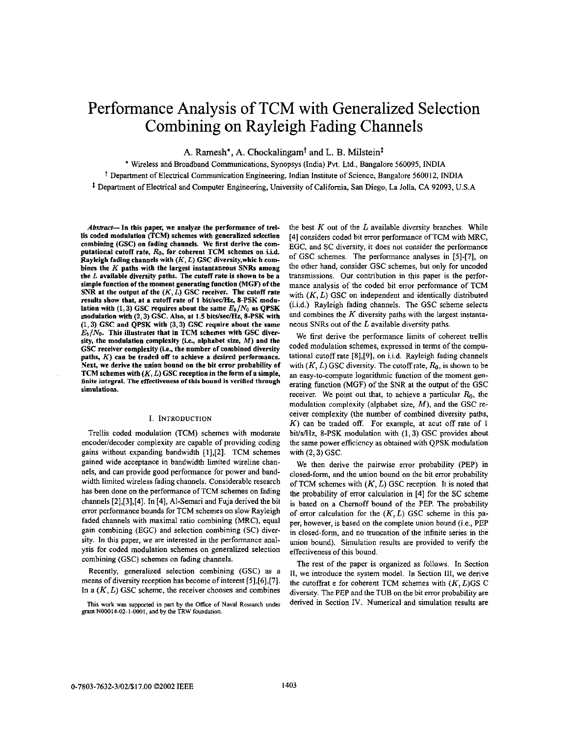# Performance Analysis of TCM with Generalized Selection Combining on Rayleigh Fading Channels

A. Ramesh<sup>\*</sup>, A. Chockalingam<sup>†</sup> and L. B. Milstein<sup>‡</sup>

' Wireless and Broadband Communications, Synopsys (India) Pvt. Ltd., Bangalore **560095,** INDIA f Depamnent of Electrical Communication Engineering, Indian Institute of Science, Bangalore 560012, INDIA

*<sup>8</sup>*Department of Electrical and Computer Engineering, University of California, San Diego, La Jolla, CA **92093, U.S.A** 

Abstract-In this paper, we analyze the performance of trellis coded modulation (TCM) schemes with generalized selection combining (GSC) on fading channels. We first derive the computational cutoff rate,  $R_0$ , for coherent TCM schemes on i.i.d. Rayleigh fading channels with (K, *L)* GSC diversity,whic h combines the  $K$  paths with the largest instantaneous SNRs among the *L* available diversity paths. The cutoff rate is shown to he **a**  simple function of the moment generating function (MGF) of the SNR at the output of the  $(K, L)$  GSC receiver. The cutoff rate results show that, at a cutoff rate of 1 bit/sec/Hz, 8-PSK modulation with  $(1,3)$  GSC requires about the same  $E_b/N_0$  as QPSK modulation with (2, 3) GSC. Also, at 1.5 bits/sec/Hz, 8-PSK with **(1,3)** GSC and **QPSK** with **(3,3)** GSC require ahout the same  $E_b/N_0$ . This illustrates that in TCM schemes with GSC diversity, the modulation complexity (i.e., alphabet size, M) and the GSC receiver complexity (i.e., the number of combined diversity paths, *K)* can be traded off to achieve **a** desired performance. Next, we derive the union hound on the hit error probability **of**  TCM schemes with (K, *L)* GSC reception in the form of **a** simple, finite integral. The effectiveness of this bound is verified through simulations.

# I. INTRODUCTION

Trellis coded modulation (TCM) schemes with moderate encoder/decoder complexity are capable of providing coding gains without expanding bandwidth **[1],[2].** TCM schemes gained wide acceptance in handwidth limited wireline channels, and can provide good performance for power and bandwidth limited wireless fading channels. Considerable research has been done on the performance of TCM schemes on fading channels **[2],[3],[4].** In **[4],** AI-Semari and Fuja derived the hit error performance bounds for TCM schemes on slow Rayleigh faded channels with maximal ratio combining (MRC), equal gain combining (EGC) and selection combining (SC) diversity. In this paper, we are interested in the performance analysis for coded modulation schemes on generalized selection combining (GSC) schemes on fading channels.

Recently, generalized selection combining (GSC) as a means of diversity reception has become of interest **[5],[6],[7].**  In a  $(K, L)$  GSC scheme, the receiver chooses and combines the best  $K$  out of the  $L$  available diversity branches. While **(41** considers coded bit error performance of TCM with MRC, EGC, and SC diversity, it does not consider the performance of GSC schemes. The performance analyses in **[SI-[7],** on the other hand, consider GSC schemes, but only for uncoded transmissions. Our contribution in this paper is the performance analysis of the coded bit error performance of TCM with  $(K, L)$  GSC on independent and identically distributed (i.i.d.) Rayleigh fading channels. The GSC scheme selects and combines the  $K$  diversity paths with the largest instantaneous SNRs out of the *L* available diversity paths.

We first derive the performance limits of coherent trellis coded modulation schemes, expressed in terms of the computational cutoff rate **[8],[9],** on i.i.d. Rayleigh fading channels with  $(K, L)$  GSC diversity. The cutoff rate,  $R_0$ , is shown to be an easy-to-compute logarithmic function of the moment generating function (MGF) of the SNR at the output of the GSC receiver. We point out that, to achieve a particular  $R_0$ , the modulation complexity (alphabet size, *M),* and the GSC receiver complexity (the number of combined diversity paths, K) can he traded off. For example, at acut *off* rate of I bit/s/Hz, 8-PSK modulation with (1,3) GSC provides about the same power efficiency as obtained with QPSK modulation with  $(2,3)$  GSC.

We then derive the pairwise error probability (PEP) in closed-form, and the union bound on the bit error probability of TCM schemes with  $(K, L)$  GSC reception. It is noted that the probability of error calculation in **[4]** for the SC scheme is based on a Chernoff bound of the PEP. The probability of error calculation for the  $(K, L)$  GSC scheme in this paper, however, is based on the complete union bound (i.e., PEP in closed-form, and no truncation of the infinite series in the union hound). Simulation results are provided to verify the effectiveness of this bound.

The rest of the paper **is** organized as follows. In Section **11,** we introduce the system model. In Section **111,** we derive the cutoffrat e for coherent TCM schemes with (K, *L)GS* C diversity. The PEP and the TUB on the bit error probability are derived in Section IV. Numerical and simulation results are

**This work was supported in pan by the** Office **of** Naval **Research** under grant N00014-02-1-0001, and by the TRW foundation.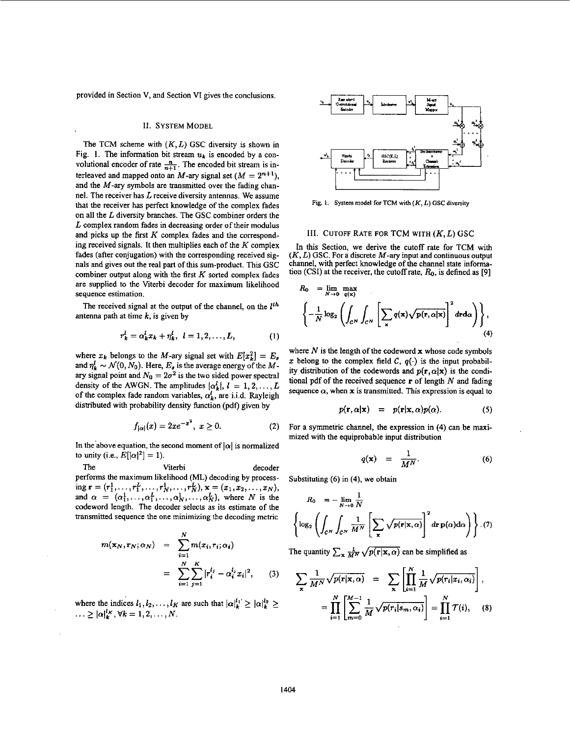provided in Section V, and Section VI gives the conclusions.

## **II.** SYSTEM MODEL

The TCM scheme with *(K,L)* GSC diversity is shown in Fig. 1. The information bit stream  $u_k$  is encoded by a convolutional encoder of rate  $\frac{n}{n+1}$ . The encoded bit stream is interleaved and mapped onto an *M*-ary signal set  $(M = 2^{n+1})$ , and the *M*-ary symbols are transmitted over the fading channel. The receiver has  $L$  receive diversity antennas. We assume that the receiver has perfect knowledge of the complex fades on all the *L* diversity branches. The GSC combiner orders the *L* complex random fades in decreasing order of their modulus and picks up the first *K* complex fades and the corresponding received signals. It then multiplies each of the  $K$  complex fades (after conjugation) with the corresponding received signals and gives out the real part of this sum-product. This GSC combiner output along with the first  $K$  sorted complex fades are supplied to the Viterbi decoder for maximum likelihood sequence estimation.

The received signal at the output of the channel, on the *Ith*  antenna path at time *k,* is given by

$$
r_k^l = \alpha_k^l x_k + \eta_k^l, \ \ l = 1, 2, ..., L,
$$
 (1)

where  $x_k$  belongs to the *M*-ary signal set with  $E[x_k^2] = E_s$ and  $\eta_k^l \sim \mathcal{N}(0, N_0)$ . Here,  $E_s$  is the average energy of the Mary signal point and  $N_0 = 2\sigma^2$  is the two sided power spectral density of the AWGN. The amplitudes  $|\alpha_k^l|, l = 1, 2, \ldots, L$ of the complex fade random variables,  $\alpha_k^l$ , are i.i.d. Rayleigh distributed with probability density function (pdf) given by

$$
f_{|\alpha|}(x) = 2xe^{-x^2}, \ x \ge 0. \tag{2}
$$

In the above equation, the second moment of  $|\alpha|$  is normalized to unity (i.e.,  $E[|\alpha|^2] = 1$ ).

The Viterbi decoder performs the maximum likelihood (ML) decoding by processing  $\mathbf{r} = (r_1^1, \ldots, r_1^L, \ldots, r_N^L, \ldots, r_N^L)$ ,  $\mathbf{x} = (x_1, x_2, \ldots, x_N)$ , and  $\alpha = (\alpha_1^1, \ldots, \alpha_1^L, \ldots, \alpha_N^1, \ldots, \alpha_N^L)$ , where N is the codeword length. The decoder selects as its estimate of the transmitted sequence the one minimizing the decoding metric

$$
m(\mathbf{x}_N, \mathbf{r}_N; \alpha_N) = \sum_{i=1}^N m(x_i, r_i; \alpha_i)
$$
  
= 
$$
\sum_{i=1}^N \sum_{j=1}^K |r_i^{l_j} - \alpha_i^{l_j} x_i|^2,
$$
 (3)

where the indices  $l_1, l_2, \ldots, l_K$  are such that  $|\alpha|_k^{l_1} \ge |\alpha|_k^{l_2} \ge$  $\cdots \ge |\alpha|_k^{l_K}, \forall k = 1, 2, ..., N.$ 



**Fig. 1. System**  model for TCM **with** *(K, L) GSC* **diversity** 

## **Ill.** CUTOFF RATE **FOR** TCM WITH *(K,L)* GSC

In this Section, we derive the cutoff rate for TCM with *(K, L)* GSC. For **a** discrete *M-ary* input and continuous output channel, with perfect knowledge of the channel state informa-tion (CSI) at the receiver, the cutoff rate, **9,** is defined **as [9]** 

$$
R_0 = \lim_{N \to 0} \max_{q(\mathbf{x})} \n\left\{ -\frac{1}{N} \log_2 \left( \int_{\mathcal{C}^N} \int_{\mathcal{C}^N} \left[ \sum_{\mathbf{x}} q(\mathbf{x}) \sqrt{\mathbf{p}(\mathbf{r}, \alpha | \mathbf{x})} \right]^2 d\mathbf{r} d\alpha \right) \right\},
$$
\n(4)

where  $N$  is the length of the codeword  $x$  whose code symbols x belong to the complex field  $\mathcal{C}$ ,  $q(\cdot)$  is the input probability distribution of the codewords and  $p(\mathbf{r}, \alpha | \mathbf{x})$  is the conditional pdf of the received sequence **r** of length N and fading sequence  $\alpha$ , when **x** is transmitted. This expression is equal to

$$
p(\mathbf{r}, \alpha | \mathbf{x}) = p(\mathbf{r} | \mathbf{x}, \alpha) p(\alpha). \tag{5}
$$

For a symmetric channel, the expression in **(4)** can be maximized with the equiprobable input distribution **1** expression in the distribution  $=$   $\frac{1}{M^N}$ .

$$
q(\mathbf{x}) = \frac{1}{M^N}.
$$
 (6)

Substituting (6) in **(4),** we obtain

$$
R_0 = -\lim_{N \to 0} \frac{1}{N}
$$
  
\n
$$
\left\{ \log_2 \left( \int_{C^N} \int_{C^N} \frac{1}{M^N} \left[ \sum_{\mathbf{x}} \sqrt{p(\mathbf{r}|\mathbf{x}, \alpha)} \right]^2 d\mathbf{r} \, p(\alpha) d\alpha \right) \right\} . (7)
$$

The quantity 
$$
\sum_{\mathbf{x}} \frac{1}{M^N} \sqrt{p(\mathbf{r}|\mathbf{x}, \alpha)}
$$
 can be simplified as

$$
\sum_{\mathbf{x}} \frac{1}{M^N} \sqrt{p(\mathbf{r}|\mathbf{x}, \alpha)} = \sum_{\mathbf{x}} \left[ \prod_{i=1}^N \frac{1}{M} \sqrt{p(r_i|x_i, \alpha_i)} \right],
$$
  

$$
= \prod_{i=1}^N \left[ \sum_{m=0}^{M-1} \frac{1}{M} \sqrt{p(r_i|s_m, \alpha_i)} \right] = \prod_{i=1}^N \mathcal{T}(i), \quad (8)
$$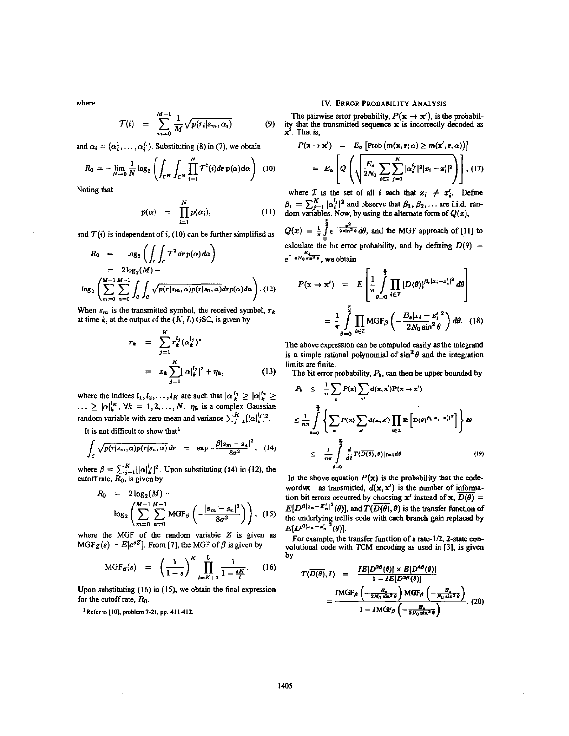$$
\mathcal{T}(i) = \sum_{m=0}^{M-1} \frac{1}{M} \sqrt{p(r_i|s_m,\alpha_i)} \tag{9}
$$

and  $\alpha_i = (\alpha_i^1, \dots, \alpha_i^L)$ . Substituting (8) in (7), we obtain

$$
R_0 = -\lim_{N\to 0} \frac{1}{N} \log_2 \left( \int_{\mathcal{C}^N} \int_{\mathcal{C}^N} \prod_{i=1}^N \mathcal{T}^2(i) d\mathbf{r} \, \mathbf{p}(\alpha) d\alpha \right). \tag{10}
$$

Noting that

$$
p(\alpha) = \prod_{i=1}^N p(\alpha_i), \qquad (11)
$$

and  $\mathcal{T}(i)$  is independent of *i*, (10) can be further simplified as

$$
R_0 = -\log_2\left(\int_C \int_C \mathcal{T}^2 dr \, p(\alpha) d\alpha\right)
$$
  
=  $2\log_2(M) -$   

$$
\log_2\left(\sum_{m=0}^{M-1} \sum_{n=0}^{M-1} \int_C \int_C \sqrt{p(r|s_m,\alpha)p(r|s_n,\alpha)} dr p(\alpha) d\alpha\right)
$$
 (12)

When  $s_m$  is the transmitted symbol, the received symbol,  $r_k$ at time  $k$ , at the output of the  $(K, L)$  GSC, is given by

$$
r_k = \sum_{j=1}^K r_k^{l_j} (\alpha_k^{l_j})^*
$$
  
\nThe above expression car  
\nis a simple rational poly.  
\n
$$
= x_k \sum_{j=1}^K [|\alpha_k^{l_j}|^2 + \eta_k,
$$
  
\n(13) This are finite.  
\nThe bit error probability

where the indices  $l_1, l_2, ..., l_K$  are such that  $|\alpha|_k^{l_1} \ge |\alpha|_k^{l_2} \ge ... \ge |\alpha|_k^{l_K}$ ,  $\forall k = 1, 2, ..., N$ .  $\eta_k$  is a complex Gaussian random variable with zero mean and variance  $\sum_{j=1}^{K} [|\alpha|_{k}^{l_j}]^2$ .

It is not difficult to show that<sup>1</sup>

$$
\int_{C} \sqrt{p(r|s_m,\alpha)p(r|s_n,\alpha)}\,dr = \exp{-\frac{\beta|s_m-s_n|^2}{8\sigma^2}}, \quad (14)
$$

where  $\beta = \sum_{j=1}^{K} [|\alpha|_k^{l_j}]^2$ . Upon substituting (14) in (12), the **in** the above equation  $P(\mathbf{x})$  is the probability that the code-<br>
In the above equation  $P(\mathbf{x})$  is the probability that the code-

$$
R_0 = 2\log_2(M) - \log_2\left(\sum_{m=0}^{M-1} \sum_{n=0}^{M-1} \text{MGF}_{\beta}\left(-\frac{|s_m - s_n|^2}{8\sigma^2}\right)\right), \quad (15)
$$

where the MGF of the random variable Z is given as  $E[D^{\beta |x_n-x'_n|^2}(\theta)]$ . where the inter-<br>MGF<sub>Z</sub>(s) =  $E[e^{sZ}]$ . From [7], the MGF of  $\beta$  is given by *b* solutional code with TCM encoding as used in [3]. is given

$$
MGF_{\beta}(s) = \left(\frac{1}{1-s}\right)^K \prod_{l=K+1}^{L} \frac{1}{1-\frac{sK}{l}}.
$$
 (16)

Upon substituting **(16)** in **(IS),** we obtain the final expression for the cutoff rate,  $R_0$ .

<sup>1</sup>Refer to [10], problem 7-21, pp. 411-412.

## where IV. **ERROR PROBABILITY ANALYSIS**

The pairwise error probability,  $P(x \rightarrow x')$ , is the probability that the transmitted sequence  $\mathbf{x}$  is incorrectly decoded as  $\mathbf{x}'$ . That is,

$$
P(\mathbf{x} \to \mathbf{x}') = E_{\alpha} \left[ \text{Prob} \left( m(\mathbf{x}, \mathbf{r}; \alpha) \ge m(\mathbf{x}', \mathbf{r}; \alpha) \right) \right]
$$
  
= 
$$
E_{\alpha} \left[ Q \left( \sqrt{\frac{E_{\alpha}}{2N_0} \sum_{i \in \mathcal{I}} \sum_{j=1}^{K} |\alpha_i^{t_j}|^2 |x_i - x_i'|^2} \right) \right], (17)
$$

where  $\mathcal{I}$  is the set of all *i* such that  $x_i \neq x'_i$ . Define  $\beta_i = \sum_{j=1}^K |\alpha_i^{l_j}|^2$  and observe that  $\beta_1, \beta_2, \dots$  are i.i.d. random variables. Now, by using the alternate form of  $Q(x)$ ,

 $Q(x) = \frac{1}{\pi} \int_{0}^{\frac{\pi}{2}} e^{-\frac{x^2}{2 \sin^2 \theta}} d\theta$ , and the MGF approach of [11] to calculate the bit error probability, and by defining  $D(\theta) = \frac{1}{\sqrt{2\pi}}$ **e**<br>  $Q(x) = \frac{1}{\pi} \int_{0}^{\frac{\pi}{2}} e^{-\frac{x^2}{2 \sin^2 \theta}}$ <br>
calculate the bit error<br>  $e^{-\frac{B_x}{4N_0 \sin^2 \theta}}$ , we obtain

$$
-\frac{E_4}{4N_0 \sin^2 \theta}
$$
, we obtain

$$
P(\mathbf{x} \to \mathbf{x}') = E\left[\frac{1}{\pi} \int_{\theta=0}^{\frac{\pi}{2}} \prod_{i \in \mathcal{I}} [D(\theta)]^{\beta_i | \mathbf{x}_i - \mathbf{x}_i'|^2} d\theta\right]
$$

$$
= \frac{1}{\pi} \int_{\theta=0}^{\frac{\pi}{2}} \prod_{i \in \mathcal{I}} MGF_{\beta}\left(-\frac{E_{\theta} | \mathbf{x}_i - \mathbf{x}_i'|^2}{2N_0 \sin^2 \theta}\right) d\theta. \quad (18)
$$

The above expression can be computed easily **as** the integrand is a simple rational polynomial of  $\sin^2 \theta$  and the integration limits **are** finite

The bit error probability,  $P_b$ , can then be upper bounded by

$$
P_k \leq \frac{1}{n} \sum_{\mathbf{x}} P(\mathbf{x}) \sum_{\mathbf{x}'} d(\mathbf{x}, \mathbf{x}') P(\mathbf{x} \to \mathbf{x}')
$$
  

$$
\leq \frac{1}{n\pi} \int_{\theta=0}^{\frac{\pi}{2}} \left\{ \sum_{\mathbf{x}} P(\mathbf{x}) \sum_{\mathbf{x}'} d(\mathbf{x}, \mathbf{x}') \prod_{i \in \mathbf{Z}} \mathbf{E} \left[ D(\theta)^{\beta_1 |\mathbf{x}_1 - \mathbf{x}_i'|^2} \right] \right\} d\theta.
$$
  

$$
\leq \frac{1}{n\pi} \int_{\theta=0}^{\frac{\pi}{2}} \frac{d}{dt} T(\overline{D(\theta)}, \theta) |_{I=1} d\theta
$$
 (19)

wordwx as transmitted,  $d(x, x')$  is the number of information bit errors occurred by choosing **x'** instead of **x**,  $\overline{D(\theta)}$  =  $E[D^{\beta |x_n - X'_n|^2}(\theta)]$ , and  $T(\overline{D(\theta)}, \theta)$  is the transfer function of the underlying trellis code with each branch gain replaced by **M-1 M-1** -

volutional code with TCM encoding **as used** in **[3],** is given

$$
T(\overline{D(\theta)}, I) = \frac{IE[D^{2\beta}(\theta)] \times E[D^{4\beta}(\theta)]}{1 - IE[D^{2\beta}(\theta)]}
$$

$$
= \frac{IMGF_{\beta}\left(-\frac{E_{\beta}}{2N_0 \sin^2 \theta}\right)MGF_{\beta}\left(-\frac{E_{\beta}}{N_0 \sin^2 \theta}\right)}{1 - IMGF_{\beta}\left(-\frac{E_{\beta}}{2N_0 \sin^2 \theta}\right)}.
$$
(20)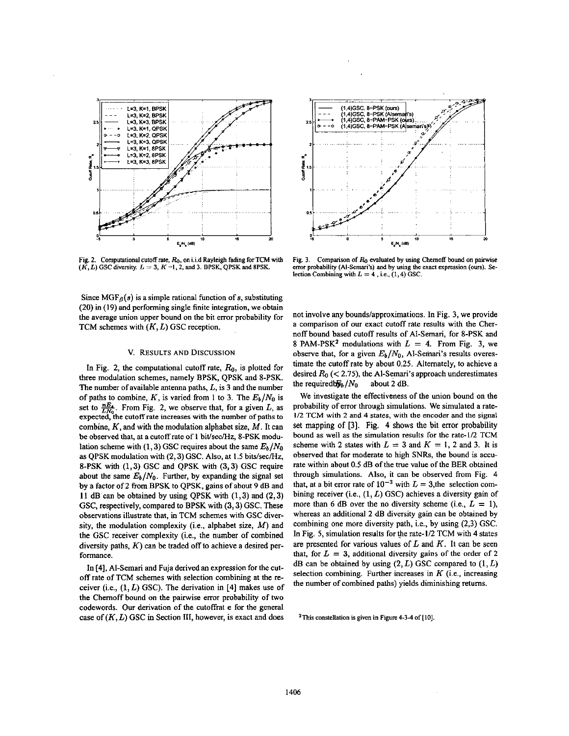



Fig. 2. Computational cutoff rate,  $R_0$ , on i.i.d Rayleigh fading for TCM with  $(K, L)$  GSC diversity.  $L = 3$ ,  $K = 1, 2$ , and 3. BPSK, QPSK and 8PSK.

Fig. 3. Comparison of  $R_0$  evaluated by using Chernoff bound on pairwise error probability (Al-Semari's) and by using the exact expression (ours). Selection Combining with  $L = 4$ , i.e., (1, 4) GSC.

Since  $MGF_{\beta}(s)$  is a simple rational function of s, substituting  $(20)$  in  $(19)$  and performing single finite integration, we obtain the average union upper bound on the bit error probability for TCM schemes with  $(K, L)$  GSC reception.

### V. RESULTS AND DISCUSSION

In Fig. 2, the computational cutoff rate,  $R_0$ , is plotted for three modulation schemes, namely BPSK, QPSK and 8-PSK. The number of available antenna paths,  $L$ , is 3 and the number of paths to combine, K, is varied from 1 to 3. The  $E_b/N_0$  is set to  $\frac{nE_t}{LN_0}$ . From Fig. 2, we observe that, for a given L, as expected, the cutoff rate increases with the number of paths to combine,  $K$ , and with the modulation alphabet size,  $M$ . It can be observed that, at a cutoff rate of 1 bit/sec/Hz, 8-PSK modulation scheme with (1, 3) GSC requires about the same  $E_b/N_0$ as QPSK modulation with (2, 3) GSC. Also, at 1.5 bits/sec/Hz, 8-PSK with (1,3) GSC and QPSK with (3,3) GSC require about the same  $E_b/N_0$ . Further, by expanding the signal set by a factor of 2 from BPSK to OPSK, gains of about 9 dB and 11 dB can be obtained by using OPSK with  $(1,3)$  and  $(2,3)$ GSC, respectively, compared to BPSK with (3, 3) GSC. These observations illustrate that, in TCM schemes with GSC diversity, the modulation complexity (i.e., alphabet size,  $M$ ) and the GSC receiver complexity (i.e., the number of combined diversity paths,  $K$ ) can be traded off to achieve a desired performance.

In [4], Al-Semari and Fuja derived an expression for the cutoff rate of TCM schemes with selection combining at the receiver (i.e.,  $(1, L)$  GSC). The derivation in [4] makes use of the Chernoff bound on the pairwise error probability of two codewords. Our derivation of the cutoffrat e for the general case of  $(K, L)$  GSC in Section III, however, is exact and does not involve any bounds/approximations. In Fig. 3, we provide a comparison of our exact cutoff rate results with the Chernoff bound based cutoff results of Al-Semari, for 8-PSK and 8 PAM-PSK<sup>2</sup> modulations with  $L = 4$ . From Fig. 3, we observe that, for a given  $E_b/N_0$ , Al-Semari's results overestimate the cutoff rate by about 0.25. Alternately, to achieve a desired  $R_0$  (< 2.75), the Al-Semari's approach underestimates the required  $W_b/N_0$ about 2 dB.

We investigate the effectiveness of the union bound on the probability of error through simulations. We simulated a rate-1/2 TCM with 2 and 4 states, with the encoder and the signal set mapping of [3]. Fig. 4 shows the bit error probability bound as well as the simulation results for the rate-1/2 TCM scheme with 2 states with  $L = 3$  and  $K = 1$ , 2 and 3. It is observed that for moderate to high SNRs, the bound is accurate within about 0.5 dB of the true value of the BER obtained through simulations. Also, it can be observed from Fig. 4 that, at a bit error rate of  $10^{-3}$  with  $L = 3$ , the selection combining receiver (i.e.,  $(1, L)$  GSC) achieves a diversity gain of more than 6 dB over the no diversity scheme (i.e.,  $L = 1$ ), whereas an additional 2 dB diversity gain can be obtained by combining one more diversity path, i.e., by using (2,3) GSC. In Fig. 5, simulation results for the rate-1/2 TCM with 4 states are presented for various values of  $L$  and  $K$ . It can be seen that, for  $L = 3$ , additional diversity gains of the order of 2 dB can be obtained by using  $(2, L)$  GSC compared to  $(1, L)$ selection combining. Further increases in  $K$  (i.e., increasing the number of combined paths) yields diminishing returns.

<sup>2</sup>This constellation is given in Figure 4-3-4 of [10].